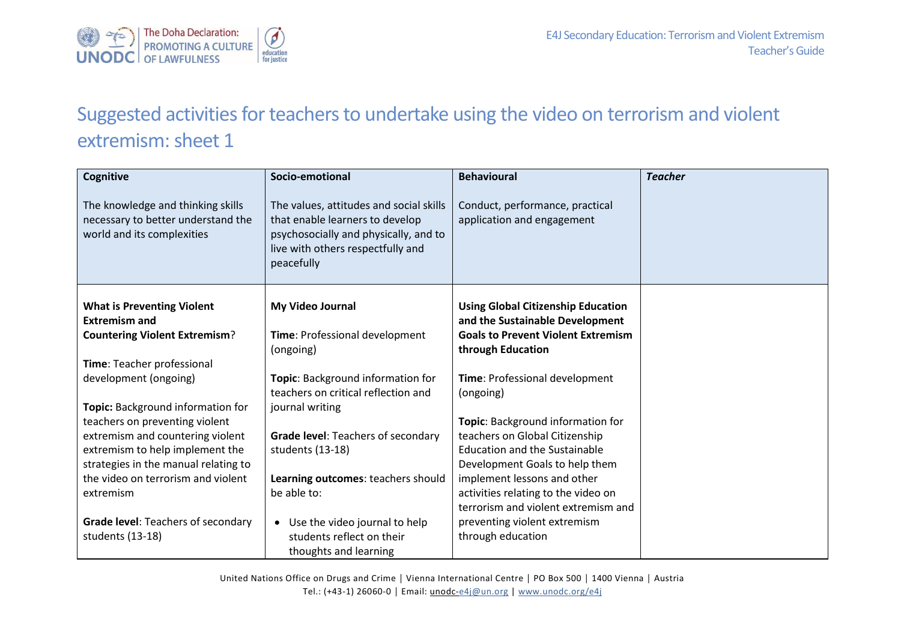

## Suggested activities for teachers to undertake using the video on terrorism and violent extremism: sheet 1

| Cognitive                                                                                             | Socio-emotional                                                                                                                                                        | <b>Behavioural</b>                                                           | <b>Teacher</b> |
|-------------------------------------------------------------------------------------------------------|------------------------------------------------------------------------------------------------------------------------------------------------------------------------|------------------------------------------------------------------------------|----------------|
| The knowledge and thinking skills<br>necessary to better understand the<br>world and its complexities | The values, attitudes and social skills<br>that enable learners to develop<br>psychosocially and physically, and to<br>live with others respectfully and<br>peacefully | Conduct, performance, practical<br>application and engagement                |                |
| <b>What is Preventing Violent</b><br><b>Extremism and</b>                                             | My Video Journal                                                                                                                                                       | <b>Using Global Citizenship Education</b><br>and the Sustainable Development |                |
| <b>Countering Violent Extremism?</b>                                                                  | Time: Professional development<br>(ongoing)                                                                                                                            | <b>Goals to Prevent Violent Extremism</b><br>through Education               |                |
| Time: Teacher professional                                                                            |                                                                                                                                                                        |                                                                              |                |
| development (ongoing)                                                                                 | Topic: Background information for<br>teachers on critical reflection and                                                                                               | Time: Professional development<br>(ongoing)                                  |                |
| Topic: Background information for                                                                     | journal writing                                                                                                                                                        |                                                                              |                |
| teachers on preventing violent                                                                        |                                                                                                                                                                        | Topic: Background information for                                            |                |
| extremism and countering violent                                                                      | <b>Grade level: Teachers of secondary</b>                                                                                                                              | teachers on Global Citizenship                                               |                |
| extremism to help implement the                                                                       | students (13-18)                                                                                                                                                       | <b>Education and the Sustainable</b>                                         |                |
| strategies in the manual relating to                                                                  |                                                                                                                                                                        | Development Goals to help them                                               |                |
| the video on terrorism and violent                                                                    | Learning outcomes: teachers should                                                                                                                                     | implement lessons and other                                                  |                |
| extremism                                                                                             | be able to:                                                                                                                                                            | activities relating to the video on                                          |                |
|                                                                                                       |                                                                                                                                                                        | terrorism and violent extremism and                                          |                |
| Grade level: Teachers of secondary                                                                    | Use the video journal to help                                                                                                                                          | preventing violent extremism                                                 |                |
| students (13-18)                                                                                      | students reflect on their<br>thoughts and learning                                                                                                                     | through education                                                            |                |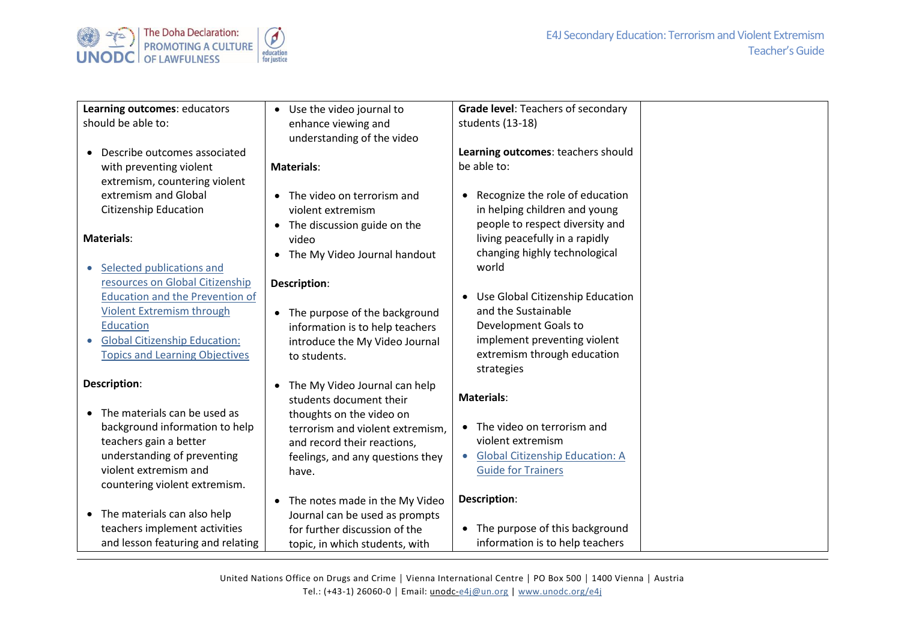

| Learning outcomes: educators<br>should be able to:                                                                                                                                                                              | • Use the video journal to<br>enhance viewing and<br>understanding of the video                                                                                                                      | Grade level: Teachers of secondary<br>students (13-18)                                                                                                                    |  |
|---------------------------------------------------------------------------------------------------------------------------------------------------------------------------------------------------------------------------------|------------------------------------------------------------------------------------------------------------------------------------------------------------------------------------------------------|---------------------------------------------------------------------------------------------------------------------------------------------------------------------------|--|
| Describe outcomes associated<br>with preventing violent<br>extremism, countering violent                                                                                                                                        | <b>Materials:</b>                                                                                                                                                                                    | Learning outcomes: teachers should<br>be able to:                                                                                                                         |  |
| extremism and Global<br><b>Citizenship Education</b>                                                                                                                                                                            | The video on terrorism and<br>violent extremism                                                                                                                                                      | Recognize the role of education<br>in helping children and young                                                                                                          |  |
| <b>Materials:</b><br>Selected publications and                                                                                                                                                                                  | The discussion guide on the<br>video<br>The My Video Journal handout<br>$\bullet$                                                                                                                    | people to respect diversity and<br>living peacefully in a rapidly<br>changing highly technological<br>world                                                               |  |
| resources on Global Citizenship<br><b>Education and the Prevention of</b><br><b>Violent Extremism through</b><br><b>Education</b><br><b>Global Citizenship Education:</b><br>$\bullet$<br><b>Topics and Learning Objectives</b> | Description:<br>The purpose of the background<br>$\bullet$<br>information is to help teachers<br>introduce the My Video Journal<br>to students.                                                      | Use Global Citizenship Education<br>$\bullet$<br>and the Sustainable<br>Development Goals to<br>implement preventing violent<br>extremism through education<br>strategies |  |
| Description:<br>The materials can be used as<br>$\bullet$<br>background information to help<br>teachers gain a better<br>understanding of preventing<br>violent extremism and<br>countering violent extremism.                  | The My Video Journal can help<br>students document their<br>thoughts on the video on<br>terrorism and violent extremism,<br>and record their reactions,<br>feelings, and any questions they<br>have. | <b>Materials:</b><br>• The video on terrorism and<br>violent extremism<br><b>Global Citizenship Education: A</b><br>$\bullet$<br><b>Guide for Trainers</b>                |  |
| The materials can also help<br>$\bullet$<br>teachers implement activities<br>and lesson featuring and relating                                                                                                                  | The notes made in the My Video<br>$\bullet$<br>Journal can be used as prompts<br>for further discussion of the<br>topic, in which students, with                                                     | Description:<br>The purpose of this background<br>$\bullet$<br>information is to help teachers                                                                            |  |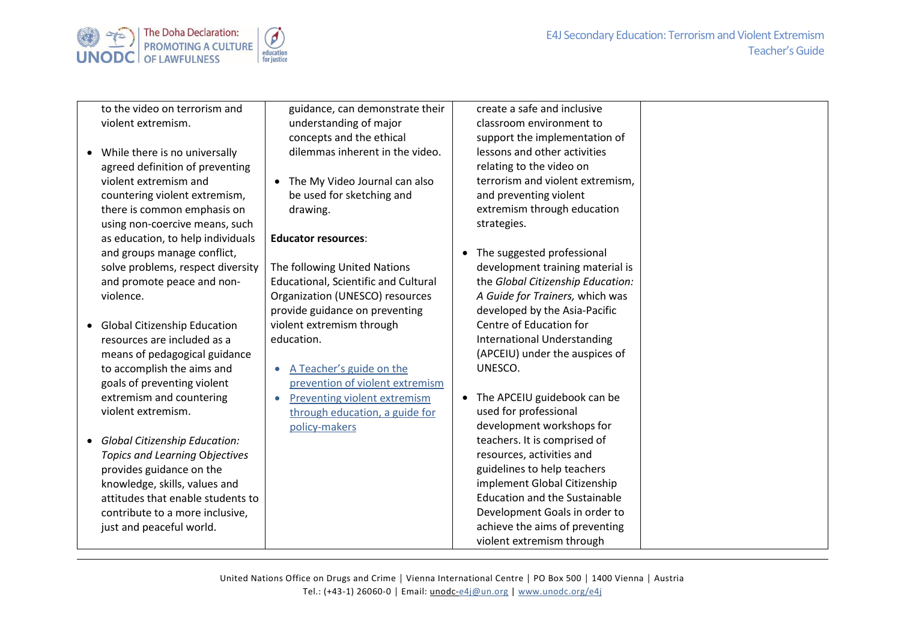



to the video on terrorism and violent extremism.

- While there is no universally agreed definition of preventing violent extremism and countering violent extremism, there is common emphasis on using non-coercive means, such as education, to help individuals and groups manage conflict, solve problems, respect diversity and promote peace and nonviolence.
- Global Citizenship Education resources are included as a means of pedagogical guidance to accomplish the aims and goals of preventing violent extremism and countering violent extremism.
- *Global Citizenship Education: Topics and Learning* O*bjectives* provides guidance on the knowledge, skills, values and attitudes that enable students to contribute to a more inclusive, just and peaceful world.

guidance, can demonstrate their understanding of major concepts and the ethical dilemmas inherent in the video.

• The My Video Journal can also be used for sketching and drawing.

## **Educator resources**:

The following United Nations Educational, Scientific and Cultural Organization (UNESCO) resources provide guidance on preventing violent extremism through education.

• A Teacher'[s guide on the](http://unesdoc.unesco.org/images/0024/002446/244676e.pdf)  [prevention of violent extremism](http://unesdoc.unesco.org/images/0024/002446/244676e.pdf)

• [Preventing violent extremism](http://unesdoc.unesco.org/images/0024/002477/247764e.pdf)  [through education, a guide for](http://unesdoc.unesco.org/images/0024/002477/247764e.pdf)  [policy-makers](http://unesdoc.unesco.org/images/0024/002477/247764e.pdf)

- create a safe and inclusive classroom environment to support the implementation of lessons and other activities relating to the video on terrorism and violent extremism, and preventing violent extremism through education strategies.
- The suggested professional development training material is the *Global Citizenship Education: A Guide for Trainers,* which was developed by the Asia-Pacific Centre of Education for International Understanding (APCEIU) under the auspices of UNESCO.
- The APCEIU guidebook can be used for professional development workshops for teachers. It is comprised of resources, activities and guidelines to help teachers implement Global Citizenship Education and the Sustainable Development Goals in order to achieve the aims of preventing violent extremism through